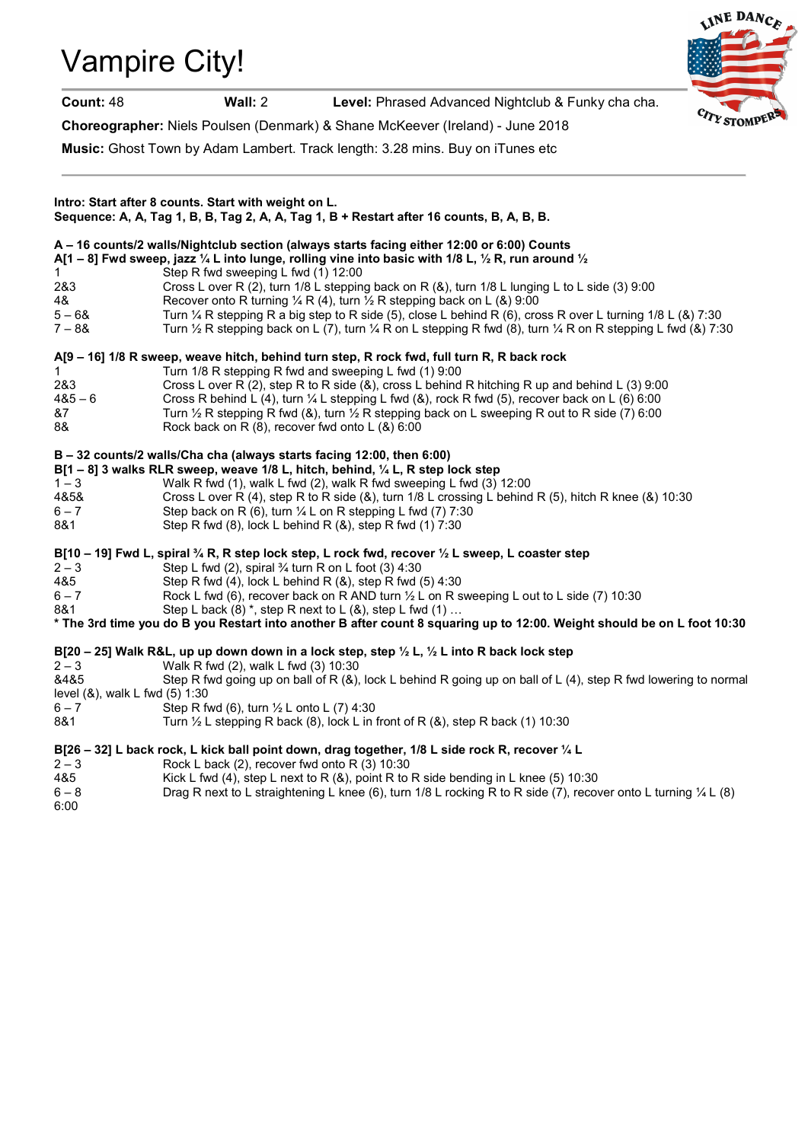# Vampire City!



Count: 48 Wall: 2 Level: Phrased Advanced Nightclub & Funky cha cha.

Choreographer: Niels Poulsen (Denmark) & Shane McKeever (Ireland) - June 2018

Music: Ghost Town by Adam Lambert. Track length: 3.28 mins. Buy on iTunes etc

| Intro: Start after 8 counts. Start with weight on L.<br>Sequence: A, A, Tag 1, B, B, Tag 2, A, A, Tag 1, B + Restart after 16 counts, B, A, B, B. |                                                                                                                                                                                                                                                                                                                                                                                                                                                                                                                                                                                                                                                                              |
|---------------------------------------------------------------------------------------------------------------------------------------------------|------------------------------------------------------------------------------------------------------------------------------------------------------------------------------------------------------------------------------------------------------------------------------------------------------------------------------------------------------------------------------------------------------------------------------------------------------------------------------------------------------------------------------------------------------------------------------------------------------------------------------------------------------------------------------|
| 1<br>2&3<br>4&<br>$5 - 68$<br>$7 - 88$                                                                                                            | A - 16 counts/2 walls/Nightclub section (always starts facing either 12:00 or 6:00) Counts<br>A[1 – 8] Fwd sweep, jazz 1/4 L into lunge, rolling vine into basic with 1/8 L, 1/2 R, run around 1/2<br>Step R fwd sweeping L fwd (1) 12:00<br>Cross L over R (2), turn 1/8 L stepping back on R (&), turn 1/8 L lunging L to L side (3) 9:00<br>Recover onto R turning $\frac{1}{4}$ R (4), turn $\frac{1}{2}$ R stepping back on L (&) 9:00<br>Turn 1/4 R stepping R a big step to R side (5), close L behind R (6), cross R over L turning 1/8 L (&) 7:30<br>Turn 1/2 R stepping back on L (7), turn 1/4 R on L stepping R fwd (8), turn 1/4 R on R stepping L fwd (&) 7:30 |
| 1.<br>2&3<br>$485 - 6$<br>&7<br>8&                                                                                                                | A[9 – 16] 1/8 R sweep, weave hitch, behind turn step, R rock fwd, full turn R, R back rock<br>Turn 1/8 R stepping R fwd and sweeping L fwd (1) 9:00<br>Cross L over R (2), step R to R side (&), cross L behind R hitching R up and behind L (3) 9:00<br>Cross R behind L (4), turn $\frac{1}{4}$ L stepping L fwd (8), rock R fwd (5), recover back on L (6) 6:00<br>Turn $\frac{1}{2}$ R stepping R fwd (&), turn $\frac{1}{2}$ R stepping back on L sweeping R out to R side (7) 6:00<br>Rock back on R (8), recover fwd onto L (&) 6:00                                                                                                                                  |
| $1 - 3$<br>4&5&<br>$6 - 7$<br>8&1                                                                                                                 | B - 32 counts/2 walls/Cha cha (always starts facing 12:00, then 6:00)<br>B[1 – 8] 3 walks RLR sweep, weave $1/8$ L, hitch, behind, $\frac{1}{4}$ L, R step lock step<br>Walk R fwd (1), walk L fwd (2), walk R fwd sweeping L fwd (3) 12:00<br>Cross L over R (4), step R to R side (&), turn 1/8 L crossing L behind R (5), hitch R knee (&) 10:30<br>Step back on R (6), turn $\frac{1}{4}$ L on R stepping L fwd (7) 7:30<br>Step R fwd (8), lock L behind R (&), step R fwd (1) 7:30                                                                                                                                                                                     |
| $2 - 3$<br>4&5<br>$6 - 7$<br>8&1                                                                                                                  | B[10 – 19] Fwd L, spiral $\frac{3}{4}$ R, R step lock step, L rock fwd, recover $\frac{1}{2}$ L sweep, L coaster step<br>Step L fwd (2), spiral 3⁄4 turn R on L foot (3) 4:30<br>Step R fwd (4), lock L behind R (&), step R fwd (5) 4:30<br>Rock L fwd (6), recover back on R AND turn 1/2 L on R sweeping L out to L side (7) 10:30<br>Step L back $(8)$ *, step R next to L $(8)$ , step L fwd $(1)$<br>* The 3rd time you do B you Restart into another B after count 8 squaring up to 12:00. Weight should be on L foot 10:30                                                                                                                                           |
| $2 - 3$<br>&4&5<br>level (&), walk L fwd (5) 1:30<br>$6 - 7$<br>8&1                                                                               | B[20 - 25] Walk R&L, up up down down in a lock step, step 1/2 L, 1/2 L into R back lock step<br>Walk R fwd (2), walk L fwd (3) 10:30<br>Step R fwd going up on ball of R (&), lock L behind R going up on ball of L (4), step R fwd lowering to normal<br>Step R fwd (6), turn $\frac{1}{2}$ L onto L (7) 4:30<br>Turn $\frac{1}{2}$ L stepping R back (8), lock L in front of R (&), step R back (1) 10:30                                                                                                                                                                                                                                                                  |
| $2 - 3$<br>4&5<br>$6 - 8$<br>6:00                                                                                                                 | B[26 - 32] L back rock, L kick ball point down, drag together, 1/8 L side rock R, recover 1/4 L<br>Rock L back (2), recover fwd onto R (3) 10:30<br>Kick L fwd (4), step L next to R (&), point R to R side bending in L knee (5) 10:30<br>Drag R next to L straightening L knee (6), turn 1/8 L rocking R to R side (7), recover onto L turning 1/4 L (8)                                                                                                                                                                                                                                                                                                                   |